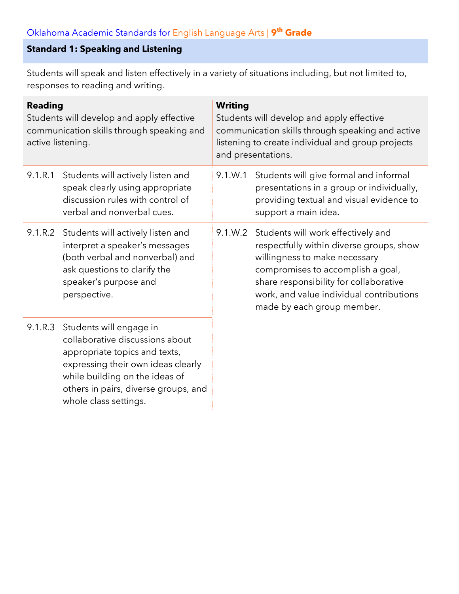## **Standard 1: Speaking and Listening**

Students will speak and listen effectively in a variety of situations including, but not limited to, responses to reading and writing.

| <b>Reading</b><br>Students will develop and apply effective<br>communication skills through speaking and<br>active listening. |                                                                                                                                                                                                                                      | <b>Writing</b><br>Students will develop and apply effective<br>communication skills through speaking and active<br>listening to create individual and group projects<br>and presentations. |                                                                                                                                                                                                                                                                          |  |
|-------------------------------------------------------------------------------------------------------------------------------|--------------------------------------------------------------------------------------------------------------------------------------------------------------------------------------------------------------------------------------|--------------------------------------------------------------------------------------------------------------------------------------------------------------------------------------------|--------------------------------------------------------------------------------------------------------------------------------------------------------------------------------------------------------------------------------------------------------------------------|--|
| 9.1.R.1                                                                                                                       | Students will actively listen and<br>speak clearly using appropriate<br>discussion rules with control of<br>verbal and nonverbal cues.                                                                                               | 9.1.W.1                                                                                                                                                                                    | Students will give formal and informal<br>presentations in a group or individually,<br>providing textual and visual evidence to<br>support a main idea.                                                                                                                  |  |
| 9.1.R.2                                                                                                                       | Students will actively listen and<br>interpret a speaker's messages<br>(both verbal and nonverbal) and<br>ask questions to clarify the<br>speaker's purpose and<br>perspective.                                                      | 9.1.W.2                                                                                                                                                                                    | Students will work effectively and<br>respectfully within diverse groups, show<br>willingness to make necessary<br>compromises to accomplish a goal,<br>share responsibility for collaborative<br>work, and value individual contributions<br>made by each group member. |  |
| 9.1.R.3                                                                                                                       | Students will engage in<br>collaborative discussions about<br>appropriate topics and texts,<br>expressing their own ideas clearly<br>while building on the ideas of<br>others in pairs, diverse groups, and<br>whole class settings. |                                                                                                                                                                                            |                                                                                                                                                                                                                                                                          |  |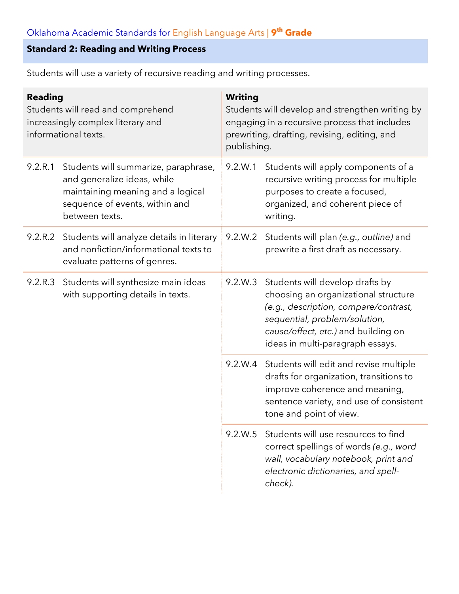#### **Standard 2: Reading and Writing Process**

**Reading** Students will read and comprehend increasingly complex literary and informational texts. **Writing** Students will develop and strengthen writing by engaging in a recursive process that includes prewriting, drafting, revising, editing, and publishing. 9.2.R.1 Students will summarize, paraphrase, and generalize ideas, while maintaining meaning and a logical sequence of events, within and between texts. 9.2.W.1 Students will apply components of a recursive writing process for multiple purposes to create a focused, organized, and coherent piece of writing. 9.2.R.2 Students will analyze details in literary and nonfiction/informational texts to evaluate patterns of genres. 9.2.W.2 Students will plan *(e.g., outline)* and prewrite a first draft as necessary. 9.2.R.3 Students will synthesize main ideas with supporting details in texts. 9.2.W.3 Students will develop drafts by choosing an organizational structure *(e.g., description, compare/contrast, sequential, problem/solution, cause/effect, etc.)* and building on ideas in multi-paragraph essays. 9.2.W.4 Students will edit and revise multiple drafts for organization, transitions to improve coherence and meaning, sentence variety, and use of consistent tone and point of view. 9.2.W.5 Students will use resources to find correct spellings of words *(e.g., word wall, vocabulary notebook, print and electronic dictionaries, and spellcheck).*

Students will use a variety of recursive reading and writing processes.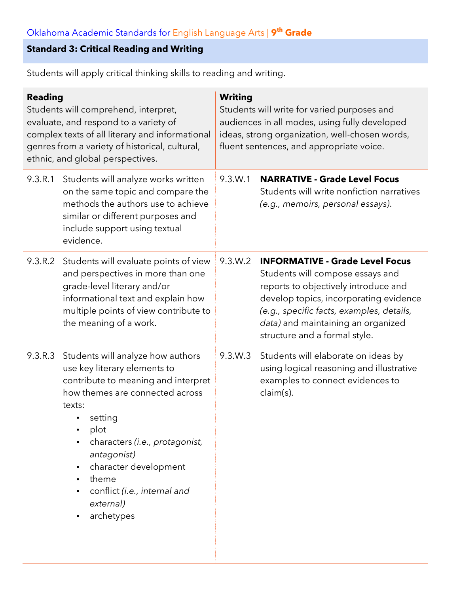## **Standard 3: Critical Reading and Writing**

Students will apply critical thinking skills to reading and writing.

| <b>Reading</b><br>Students will comprehend, interpret,<br>evaluate, and respond to a variety of<br>complex texts of all literary and informational<br>genres from a variety of historical, cultural,<br>ethnic, and global perspectives. |                                                                                                                                                                                                                                                                                                                        | <b>Writing</b><br>Students will write for varied purposes and<br>audiences in all modes, using fully developed<br>ideas, strong organization, well-chosen words,<br>fluent sentences, and appropriate voice. |                                                                                                                                                                                                                                                                                  |  |
|------------------------------------------------------------------------------------------------------------------------------------------------------------------------------------------------------------------------------------------|------------------------------------------------------------------------------------------------------------------------------------------------------------------------------------------------------------------------------------------------------------------------------------------------------------------------|--------------------------------------------------------------------------------------------------------------------------------------------------------------------------------------------------------------|----------------------------------------------------------------------------------------------------------------------------------------------------------------------------------------------------------------------------------------------------------------------------------|--|
| 9.3.R.1                                                                                                                                                                                                                                  | Students will analyze works written<br>on the same topic and compare the<br>methods the authors use to achieve<br>similar or different purposes and<br>include support using textual<br>evidence.                                                                                                                      | 9.3.W.1                                                                                                                                                                                                      | <b>NARRATIVE - Grade Level Focus</b><br>Students will write nonfiction narratives<br>(e.g., memoirs, personal essays).                                                                                                                                                           |  |
| 9.3.R.2                                                                                                                                                                                                                                  | Students will evaluate points of view<br>and perspectives in more than one<br>grade-level literary and/or<br>informational text and explain how<br>multiple points of view contribute to<br>the meaning of a work.                                                                                                     | 9.3.W.2                                                                                                                                                                                                      | <b>INFORMATIVE - Grade Level Focus</b><br>Students will compose essays and<br>reports to objectively introduce and<br>develop topics, incorporating evidence<br>(e.g., specific facts, examples, details,<br>data) and maintaining an organized<br>structure and a formal style. |  |
| 9.3.R.3                                                                                                                                                                                                                                  | Students will analyze how authors<br>use key literary elements to<br>contribute to meaning and interpret<br>how themes are connected across<br>texts:<br>setting<br>plot<br>characters (i.e., protagonist,<br>antagonist)<br>character development<br>theme<br>conflict (i.e., internal and<br>external)<br>archetypes | 9.3.W.3                                                                                                                                                                                                      | Students will elaborate on ideas by<br>using logical reasoning and illustrative<br>examples to connect evidences to<br>claim(s).                                                                                                                                                 |  |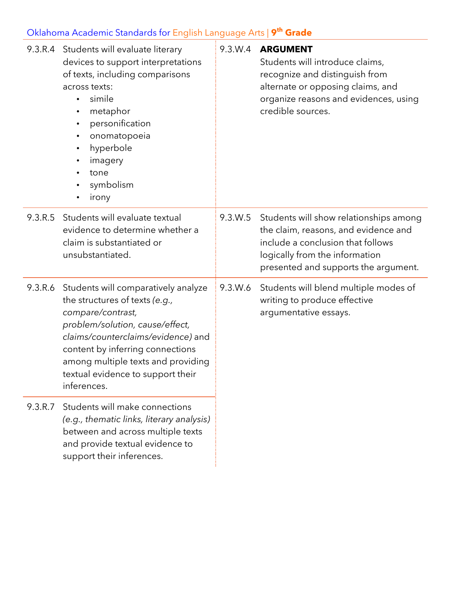|         | 9.3.R.4 Students will evaluate literary<br>devices to support interpretations<br>of texts, including comparisons<br>across texts:<br>simile<br>$\bullet$<br>metaphor<br>personification<br>$\bullet$<br>onomatopoeia<br>$\bullet$<br>hyperbole<br>$\bullet$<br>imagery<br>$\bullet$<br>tone<br>symbolism<br>irony | 9.3.W.4 | <b>ARGUMENT</b><br>Students will introduce claims,<br>recognize and distinguish from<br>alternate or opposing claims, and<br>organize reasons and evidences, using<br>credible sources.       |
|---------|-------------------------------------------------------------------------------------------------------------------------------------------------------------------------------------------------------------------------------------------------------------------------------------------------------------------|---------|-----------------------------------------------------------------------------------------------------------------------------------------------------------------------------------------------|
| 9.3.R.5 | Students will evaluate textual<br>evidence to determine whether a<br>claim is substantiated or<br>unsubstantiated.                                                                                                                                                                                                | 9.3.W.5 | Students will show relationships among<br>the claim, reasons, and evidence and<br>include a conclusion that follows<br>logically from the information<br>presented and supports the argument. |
| 9.3.R.6 | Students will comparatively analyze<br>the structures of texts (e.g.,<br>compare/contrast,<br>problem/solution, cause/effect,<br>claims/counterclaims/evidence) and<br>content by inferring connections<br>among multiple texts and providing<br>textual evidence to support their<br>inferences.                 | 9.3.W.6 | Students will blend multiple modes of<br>writing to produce effective<br>argumentative essays.                                                                                                |
| 9.3.R.7 | Students will make connections<br>(e.g., thematic links, literary analysis)<br>between and across multiple texts<br>and provide textual evidence to<br>support their inferences.                                                                                                                                  |         |                                                                                                                                                                                               |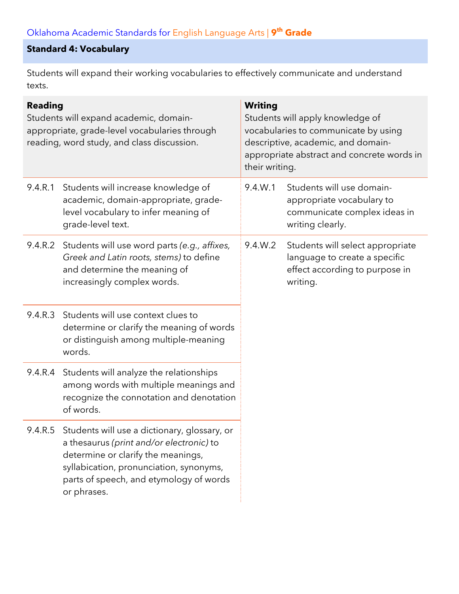#### **Standard 4: Vocabulary**

Students will expand their working vocabularies to effectively communicate and understand texts.

| <b>Reading</b><br>Students will expand academic, domain-<br>appropriate, grade-level vocabularies through<br>reading, word study, and class discussion. |                                                                                                                                                                                                                                             | <b>Writing</b><br>Students will apply knowledge of<br>vocabularies to communicate by using<br>descriptive, academic, and domain-<br>appropriate abstract and concrete words in<br>their writing. |                                                                                                                 |
|---------------------------------------------------------------------------------------------------------------------------------------------------------|---------------------------------------------------------------------------------------------------------------------------------------------------------------------------------------------------------------------------------------------|--------------------------------------------------------------------------------------------------------------------------------------------------------------------------------------------------|-----------------------------------------------------------------------------------------------------------------|
| 9.4.R.1                                                                                                                                                 | Students will increase knowledge of<br>academic, domain-appropriate, grade-<br>level vocabulary to infer meaning of<br>grade-level text.                                                                                                    | 9.4.W.1                                                                                                                                                                                          | Students will use domain-<br>appropriate vocabulary to<br>communicate complex ideas in<br>writing clearly.      |
| 9.4.R.2                                                                                                                                                 | Students will use word parts (e.g., affixes,<br>Greek and Latin roots, stems) to define<br>and determine the meaning of<br>increasingly complex words.                                                                                      | 9.4.W.2                                                                                                                                                                                          | Students will select appropriate<br>language to create a specific<br>effect according to purpose in<br>writing. |
| 9.4.R.3                                                                                                                                                 | Students will use context clues to<br>determine or clarify the meaning of words<br>or distinguish among multiple-meaning<br>words.                                                                                                          |                                                                                                                                                                                                  |                                                                                                                 |
|                                                                                                                                                         | 9.4.R.4 Students will analyze the relationships<br>among words with multiple meanings and<br>recognize the connotation and denotation<br>of words.                                                                                          |                                                                                                                                                                                                  |                                                                                                                 |
|                                                                                                                                                         | 9.4.R.5 Students will use a dictionary, glossary, or<br>a thesaurus (print and/or electronic) to<br>determine or clarify the meanings,<br>syllabication, pronunciation, synonyms,<br>parts of speech, and etymology of words<br>or phrases. |                                                                                                                                                                                                  |                                                                                                                 |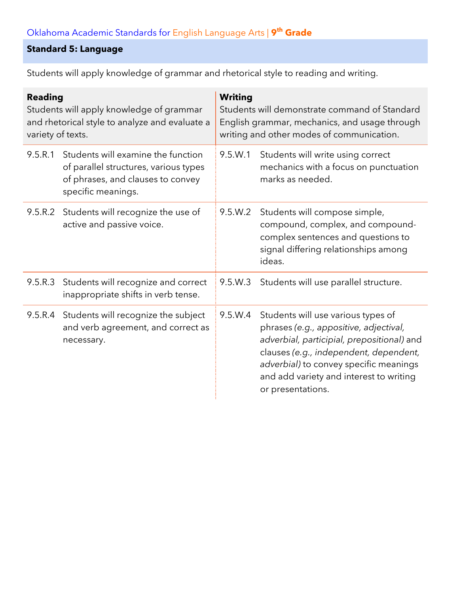#### **Standard 5: Language**

Students will apply knowledge of grammar and rhetorical style to reading and writing.

| <b>Reading</b><br>Students will apply knowledge of grammar<br>and rhetorical style to analyze and evaluate a<br>variety of texts. |                                                                                                                                        | <b>Writing</b><br>Students will demonstrate command of Standard<br>English grammar, mechanics, and usage through<br>writing and other modes of communication. |                                                                                                                                                                                                                                                                                |  |
|-----------------------------------------------------------------------------------------------------------------------------------|----------------------------------------------------------------------------------------------------------------------------------------|---------------------------------------------------------------------------------------------------------------------------------------------------------------|--------------------------------------------------------------------------------------------------------------------------------------------------------------------------------------------------------------------------------------------------------------------------------|--|
| 9.5.R.1                                                                                                                           | Students will examine the function<br>of parallel structures, various types<br>of phrases, and clauses to convey<br>specific meanings. | 9.5.W.1                                                                                                                                                       | Students will write using correct<br>mechanics with a focus on punctuation<br>marks as needed.                                                                                                                                                                                 |  |
|                                                                                                                                   | 9.5.R.2 Students will recognize the use of<br>active and passive voice.                                                                | 9.5.W.2                                                                                                                                                       | Students will compose simple,<br>compound, complex, and compound-<br>complex sentences and questions to<br>signal differing relationships among<br>ideas.                                                                                                                      |  |
| 9.5.R.3                                                                                                                           | Students will recognize and correct<br>inappropriate shifts in verb tense.                                                             | 9.5.W.3                                                                                                                                                       | Students will use parallel structure.                                                                                                                                                                                                                                          |  |
|                                                                                                                                   | 9.5.R.4 Students will recognize the subject<br>and verb agreement, and correct as<br>necessary.                                        | 9.5.W.4                                                                                                                                                       | Students will use various types of<br>phrases (e.g., appositive, adjectival,<br>adverbial, participial, prepositional) and<br>clauses (e.g., independent, dependent,<br>adverbial) to convey specific meanings<br>and add variety and interest to writing<br>or presentations. |  |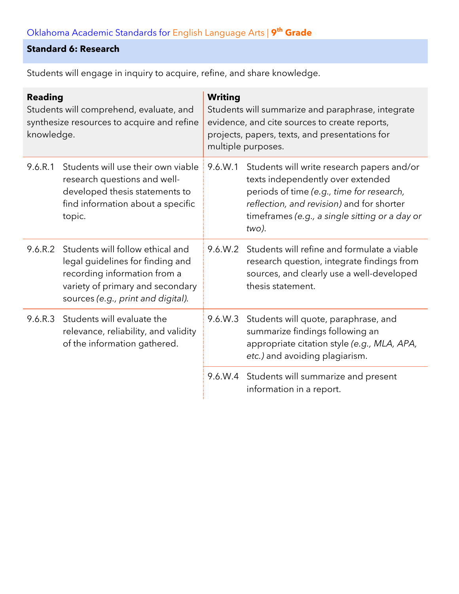### **Standard 6: Research**

| <b>Reading</b><br>Students will comprehend, evaluate, and<br>synthesize resources to acquire and refine<br>knowledge. |                                                                                                                                                                                | <b>Writing</b><br>Students will summarize and paraphrase, integrate<br>evidence, and cite sources to create reports,<br>projects, papers, texts, and presentations for<br>multiple purposes. |                                                                                                                                                                                                                                      |  |
|-----------------------------------------------------------------------------------------------------------------------|--------------------------------------------------------------------------------------------------------------------------------------------------------------------------------|----------------------------------------------------------------------------------------------------------------------------------------------------------------------------------------------|--------------------------------------------------------------------------------------------------------------------------------------------------------------------------------------------------------------------------------------|--|
| 9.6.R.1                                                                                                               | Students will use their own viable<br>research questions and well-<br>developed thesis statements to<br>find information about a specific<br>topic.                            | 9.6.W.1                                                                                                                                                                                      | Students will write research papers and/or<br>texts independently over extended<br>periods of time (e.g., time for research,<br>reflection, and revision) and for shorter<br>timeframes (e.g., a single sitting or a day or<br>two). |  |
| 9.6.R.2                                                                                                               | Students will follow ethical and<br>legal guidelines for finding and<br>recording information from a<br>variety of primary and secondary<br>sources (e.g., print and digital). | 9.6.W.2                                                                                                                                                                                      | Students will refine and formulate a viable<br>research question, integrate findings from<br>sources, and clearly use a well-developed<br>thesis statement.                                                                          |  |
|                                                                                                                       | 9.6.R.3 Students will evaluate the<br>relevance, reliability, and validity<br>of the information gathered.                                                                     | 9.6.W.3                                                                                                                                                                                      | Students will quote, paraphrase, and<br>summarize findings following an<br>appropriate citation style (e.g., MLA, APA,<br>etc.) and avoiding plagiarism.                                                                             |  |
|                                                                                                                       |                                                                                                                                                                                |                                                                                                                                                                                              | 9.6.W.4 Students will summarize and present<br>information in a report.                                                                                                                                                              |  |

Students will engage in inquiry to acquire, refine, and share knowledge.